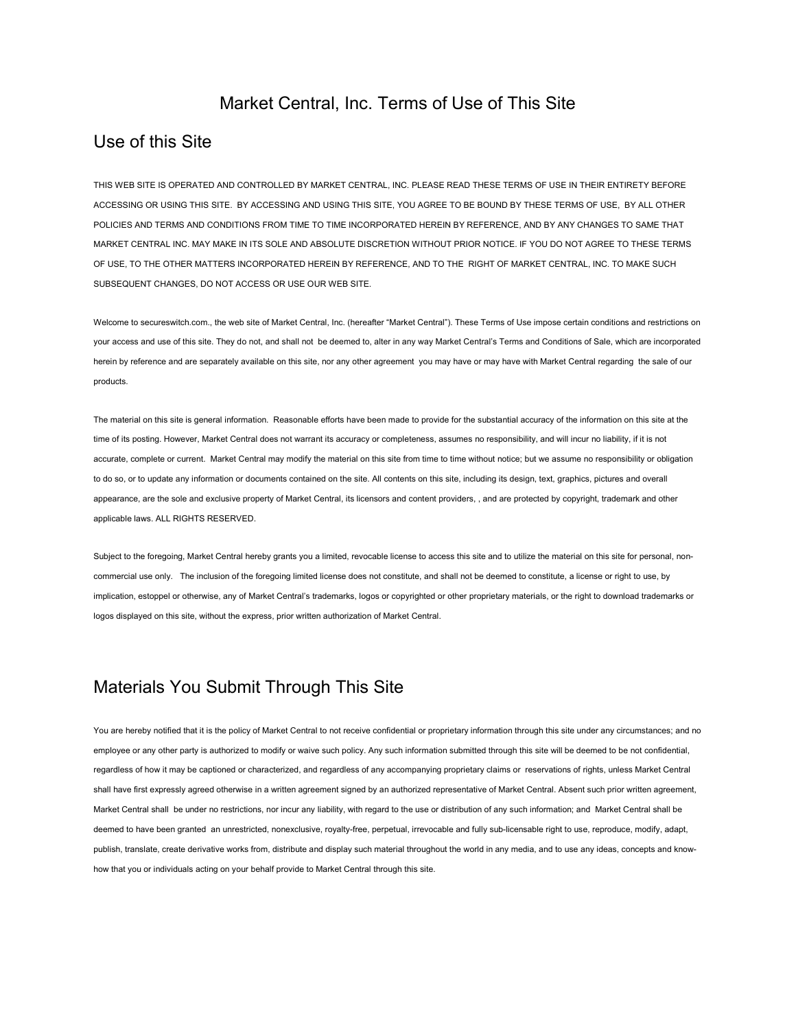#### Market Central, Inc. Terms of Use of This Site

#### Use of this Site

THIS WEB SITE IS OPERATED AND CONTROLLED BY MARKET CENTRAL, INC. PLEASE READ THESE TERMS OF USE IN THEIR ENTIRETY BEFORE ACCESSING OR USING THIS SITE. BY ACCESSING AND USING THIS SITE, YOU AGREE TO BE BOUND BY THESE TERMS OF USE, BY ALL OTHER POLICIES AND TERMS AND CONDITIONS FROM TIME TO TIME INCORPORATED HEREIN BY REFERENCE, AND BY ANY CHANGES TO SAME THAT MARKET CENTRAL INC. MAY MAKE IN ITS SOLE AND ABSOLUTE DISCRETION WITHOUT PRIOR NOTICE. IF YOU DO NOT AGREE TO THESE TERMS OF USE, TO THE OTHER MATTERS INCORPORATED HEREIN BY REFERENCE, AND TO THE RIGHT OF MARKET CENTRAL, INC. TO MAKE SUCH SUBSEQUENT CHANGES, DO NOT ACCESS OR USE OUR WEB SITE.

Welcome to secureswitch.com., the web site of Market Central, Inc. (hereafter "Market Central"). These Terms of Use impose certain conditions and restrictions on your access and use of this site. They do not, and shall not be deemed to, alter in any way Market Central's Terms and Conditions of Sale, which are incorporated herein by reference and are separately available on this site, nor any other agreement you may have or may have with Market Central regarding the sale of our products.

The material on this site is general information. Reasonable efforts have been made to provide for the substantial accuracy of the information on this site at the time of its posting. However, Market Central does not warrant its accuracy or completeness, assumes no responsibility, and will incur no liability, if it is not accurate, complete or current. Market Central may modify the material on this site from time to time without notice; but we assume no responsibility or obligation to do so, or to update any information or documents contained on the site. All contents on this site, including its design, text, graphics, pictures and overall appearance, are the sole and exclusive property of Market Central, its licensors and content providers, , and are protected by copyright, trademark and other applicable laws. ALL RIGHTS RESERVED.

Subject to the foregoing, Market Central hereby grants you a limited, revocable license to access this site and to utilize the material on this site for personal, noncommercial use only. The inclusion of the foregoing limited license does not constitute, and shall not be deemed to constitute, a license or right to use, by implication, estoppel or otherwise, any of Market Central's trademarks, logos or copyrighted or other proprietary materials, or the right to download trademarks or logos displayed on this site, without the express, prior written authorization of Market Central.

## Materials You Submit Through This Site

You are hereby notified that it is the policy of Market Central to not receive confidential or proprietary information through this site under any circumstances; and no employee or any other party is authorized to modify or waive such policy. Any such information submitted through this site will be deemed to be not confidential, regardless of how it may be captioned or characterized, and regardless of any accompanying proprietary claims or reservations of rights, unless Market Central shall have first expressly agreed otherwise in a written agreement signed by an authorized representative of Market Central. Absent such prior written agreement, Market Central shall be under no restrictions, nor incur any liability, with regard to the use or distribution of any such information; and Market Central shall be deemed to have been granted an unrestricted, nonexclusive, royalty-free, perpetual, irrevocable and fully sub-licensable right to use, reproduce, modify, adapt, publish, translate, create derivative works from, distribute and display such material throughout the world in any media, and to use any ideas, concepts and knowhow that you or individuals acting on your behalf provide to Market Central through this site.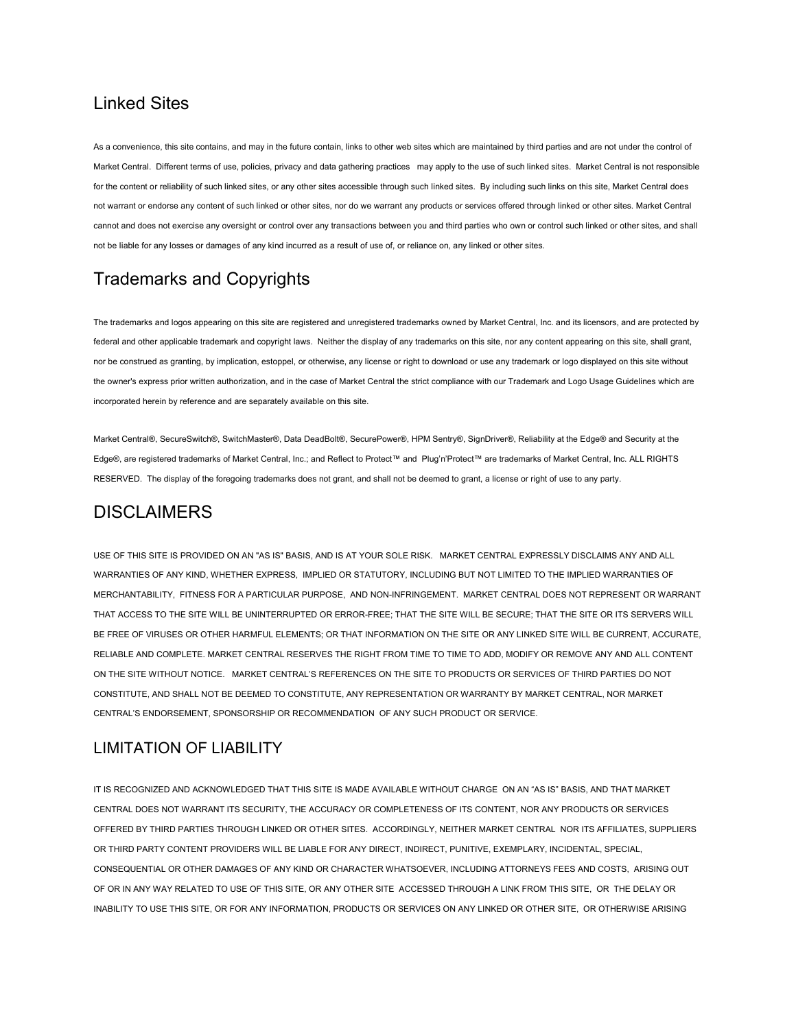### Linked Sites

As a convenience, this site contains, and may in the future contain, links to other web sites which are maintained by third parties and are not under the control of Market Central. Different terms of use, policies, privacy and data gathering practices may apply to the use of such linked sites. Market Central is not responsible for the content or reliability of such linked sites, or any other sites accessible through such linked sites. By including such links on this site, Market Central does not warrant or endorse any content of such linked or other sites, nor do we warrant any products or services offered through linked or other sites. Market Central cannot and does not exercise any oversight or control over any transactions between you and third parties who own or control such linked or other sites, and shall not be liable for any losses or damages of any kind incurred as a result of use of, or reliance on, any linked or other sites.

# Trademarks and Copyrights

The trademarks and logos appearing on this site are registered and unregistered trademarks owned by Market Central, Inc. and its licensors, and are protected by federal and other applicable trademark and copyright laws. Neither the display of any trademarks on this site, nor any content appearing on this site, shall grant, nor be construed as granting, by implication, estoppel, or otherwise, any license or right to download or use any trademark or logo displayed on this site without the owner's express prior written authorization, and in the case of Market Central the strict compliance with our Trademark and Logo Usage Guidelines which are incorporated herein by reference and are separately available on this site.

Market Central®, SecureSwitch®, SwitchMaster®, Data DeadBolt®, SecurePower®, HPM Sentry®, SignDriver®, Reliability at the Edge® and Security at the Edge®, are registered trademarks of Market Central, Inc.; and Reflect to Protect™ and Plug'n'Protect™ are trademarks of Market Central, Inc. ALL RIGHTS RESERVED. The display of the foregoing trademarks does not grant, and shall not be deemed to grant, a license or right of use to any party.

## **DISCLAIMERS**

USE OF THIS SITE IS PROVIDED ON AN "AS IS" BASIS, AND IS AT YOUR SOLE RISK. MARKET CENTRAL EXPRESSLY DISCLAIMS ANY AND ALL WARRANTIES OF ANY KIND, WHETHER EXPRESS, IMPLIED OR STATUTORY, INCLUDING BUT NOT LIMITED TO THE IMPLIED WARRANTIES OF MERCHANTABILITY, FITNESS FOR A PARTICULAR PURPOSE, AND NON-INFRINGEMENT. MARKET CENTRAL DOES NOT REPRESENT OR WARRANT THAT ACCESS TO THE SITE WILL BE UNINTERRUPTED OR ERROR-FREE; THAT THE SITE WILL BE SECURE; THAT THE SITE OR ITS SERVERS WILL BE FREE OF VIRUSES OR OTHER HARMFUL ELEMENTS; OR THAT INFORMATION ON THE SITE OR ANY LINKED SITE WILL BE CURRENT, ACCURATE, RELIABLE AND COMPLETE. MARKET CENTRAL RESERVES THE RIGHT FROM TIME TO TIME TO ADD, MODIFY OR REMOVE ANY AND ALL CONTENT ON THE SITE WITHOUT NOTICE. MARKET CENTRAL'S REFERENCES ON THE SITE TO PRODUCTS OR SERVICES OF THIRD PARTIES DO NOT CONSTITUTE, AND SHALL NOT BE DEEMED TO CONSTITUTE, ANY REPRESENTATION OR WARRANTY BY MARKET CENTRAL, NOR MARKET CENTRAL'S ENDORSEMENT, SPONSORSHIP OR RECOMMENDATION OF ANY SUCH PRODUCT OR SERVICE.

#### LIMITATION OF LIABILITY

IT IS RECOGNIZED AND ACKNOWLEDGED THAT THIS SITE IS MADE AVAILABLE WITHOUT CHARGE ON AN "AS IS" BASIS, AND THAT MARKET CENTRAL DOES NOT WARRANT ITS SECURITY, THE ACCURACY OR COMPLETENESS OF ITS CONTENT, NOR ANY PRODUCTS OR SERVICES OFFERED BY THIRD PARTIES THROUGH LINKED OR OTHER SITES. ACCORDINGLY, NEITHER MARKET CENTRAL NOR ITS AFFILIATES, SUPPLIERS OR THIRD PARTY CONTENT PROVIDERS WILL BE LIABLE FOR ANY DIRECT, INDIRECT, PUNITIVE, EXEMPLARY, INCIDENTAL, SPECIAL, CONSEQUENTIAL OR OTHER DAMAGES OF ANY KIND OR CHARACTER WHATSOEVER, INCLUDING ATTORNEYS FEES AND COSTS, ARISING OUT OF OR IN ANY WAY RELATED TO USE OF THIS SITE, OR ANY OTHER SITE ACCESSED THROUGH A LINK FROM THIS SITE, OR THE DELAY OR INABILITY TO USE THIS SITE, OR FOR ANY INFORMATION, PRODUCTS OR SERVICES ON ANY LINKED OR OTHER SITE, OR OTHERWISE ARISING